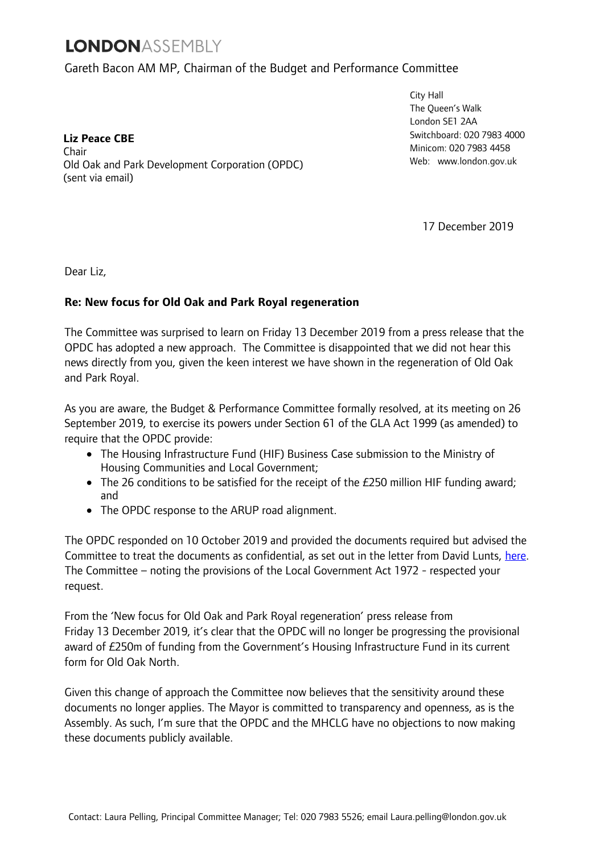## **LONDONASSEMBLY**

## Gareth Bacon AM MP, Chairman of the Budget and Performance Committee

**Liz Peace CBE**  Chair Old Oak and Park Development Corporation (OPDC) (sent via email)

City Hall The Queen's Walk London SE1 2AA Switchboard: 020 7983 4000 Minicom: 020 7983 4458 Web[:](http://www.london.gov.uk/) [www.london.gov.uk](http://www.london.gov.uk/)

17 December 2019

Dear Liz,

## **Re: New focus for Old Oak and Park Royal regeneration**

The Committee was surprised to learn on Friday 13 December 2019 from a press release that the OPDC has adopted a new approach. The Committee is disappointed that we did not hear this news directly from you, given the keen interest we have shown in the regeneration of Old Oak and Park Royal.

As you are aware, the Budget & Performance Committee formally resolved, at its meeting on 26 September 2019, to exercise its powers under Section 61 of the GLA Act 1999 (as amended) to require that the OPDC provide:

- The Housing Infrastructure Fund (HIF) Business Case submission to the Ministry of Housing Communities and Local Government;
- The 26 conditions to be satisfied for the receipt of the £250 million HIF funding award; and
- The OPDC response to the ARUP road alignment.

The OPDC responded on 10 October 2019 and provided the documents required but advised the Committee to treat the documents as confidential, as set out in the letter from David Lunts, [here.](https://www.london.gov.uk/moderngov/documents/s79586/Appendix%201%20-%20OPDC%20summons%20response%20covering%20letter.pdf) The Committee – noting the provisions of the Local Government Act 1972 - respected your request.

From the 'New focus for Old Oak and Park Royal regeneration' press release from Friday 13 December 2019, it's clear that the OPDC will no longer be progressing the provisional award of £250m of funding from the Government's Housing Infrastructure Fund in its current form for Old Oak North.

Given this change of approach the Committee now believes that the sensitivity around these documents no longer applies. The Mayor is committed to transparency and openness, as is the Assembly. As such, I'm sure that the OPDC and the MHCLG have no objections to now making these documents publicly available.